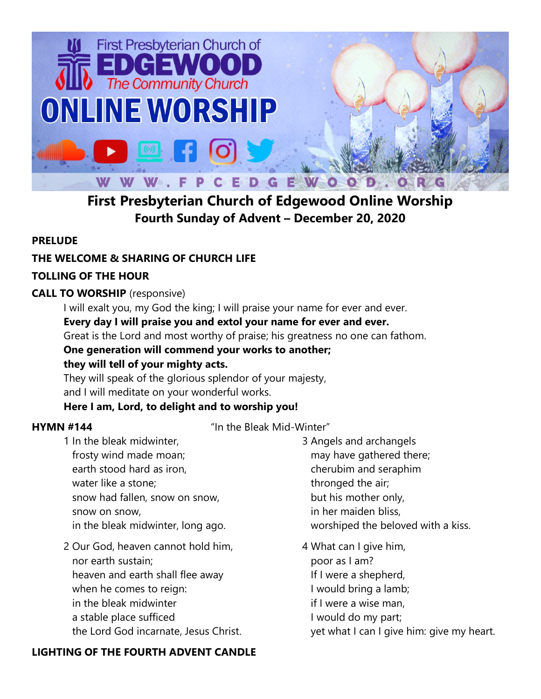

# **First Presbyterian Church of Edgewood Online Worship Fourth Sunday of Advent – December 20, 2020**

## **PRELUDE**

## **THE WELCOME & SHARING OF CHURCH LIFE**

## **TOLLING OF THE HOUR**

## **CALL TO WORSHIP** (responsive)

I will exalt you, my God the king; I will praise your name for ever and ever. **Every day I will praise you and extol your name for ever and ever.** Great is the Lord and most worthy of praise; his greatness no one can fathom. **One generation will commend your works to another;** 

## **they will tell of your mighty acts.**

They will speak of the glorious splendor of your majesty, and I will meditate on your wonderful works.

## **Here I am, Lord, to delight and to worship you!**

**HYMN #144** "In the Bleak Mid-Winter"

- 1 In the bleak midwinter, frosty wind made moan; earth stood hard as iron, water like a stone; snow had fallen, snow on snow, snow on snow, in the bleak midwinter, long ago.
- 2 Our God, heaven cannot hold him, nor earth sustain; heaven and earth shall flee away when he comes to reign: in the bleak midwinter a stable place sufficed the Lord God incarnate, Jesus Christ.

## **LIGHTING OF THE FOURTH ADVENT CANDLE**

3 Angels and archangels may have gathered there; cherubim and seraphim thronged the air; but his mother only, in her maiden bliss, worshiped the beloved with a kiss.

4 What can I give him, poor as I am? If I were a shepherd, I would bring a lamb; if I were a wise man, I would do my part; yet what I can I give him: give my heart.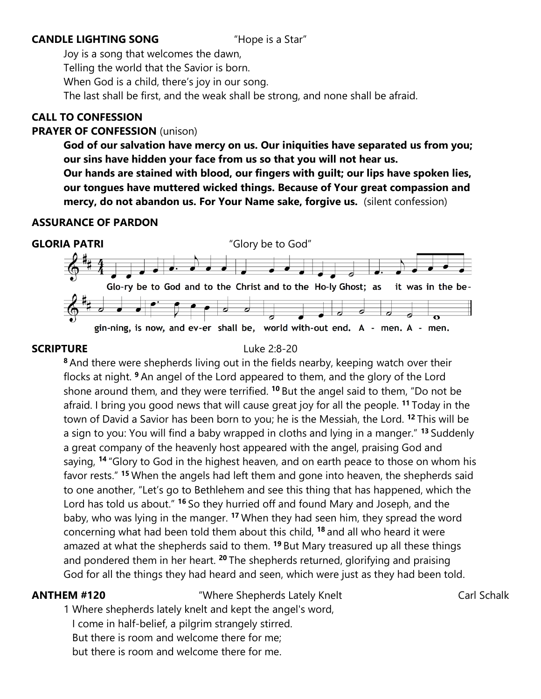### **CANDLE LIGHTING SONG** "Hope is a Star"

Joy is a song that welcomes the dawn, Telling the world that the Savior is born. When God is a child, there's joy in our song. The last shall be first, and the weak shall be strong, and none shall be afraid.

### **CALL TO CONFESSION**

### **PRAYER OF CONFESSION** (unison)

**God of our salvation have mercy on us. Our iniquities have separated us from you; our sins have hidden your face from us so that you will not hear us. Our hands are stained with blood, our fingers with guilt; our lips have spoken lies, our tongues have muttered wicked things. Because of Your great compassion and mercy, do not abandon us. For Your Name sake, forgive us.** (silent confession)

### **ASSURANCE OF PARDON**



### **SCRIPTURE** Luke 2:8-20

**<sup>8</sup>** And there were shepherds living out in the fields nearby, keeping watch over their flocks at night. **<sup>9</sup>** An angel of the Lord appeared to them, and the glory of the Lord shone around them, and they were terrified. **<sup>10</sup>** But the angel said to them, "Do not be afraid. I bring you good news that will cause great joy for all the people. **<sup>11</sup>** Today in the town of David a Savior has been born to you; he is the Messiah, the Lord. **<sup>12</sup>** This will be a sign to you: You will find a baby wrapped in cloths and lying in a manger." **<sup>13</sup>** Suddenly a great company of the heavenly host appeared with the angel, praising God and saying, **<sup>14</sup>** "Glory to God in the highest heaven, and on earth peace to those on whom his favor rests." **<sup>15</sup>** When the angels had left them and gone into heaven, the shepherds said to one another, "Let's go to Bethlehem and see this thing that has happened, which the Lord has told us about." **<sup>16</sup>** So they hurried off and found Mary and Joseph, and the baby, who was lying in the manger. **<sup>17</sup>** When they had seen him, they spread the word concerning what had been told them about this child, **<sup>18</sup>** and all who heard it were amazed at what the shepherds said to them. **<sup>19</sup>** But Mary treasured up all these things and pondered them in her heart. **<sup>20</sup>** The shepherds returned, glorifying and praising God for all the things they had heard and seen, which were just as they had been told.

**ANTHEM #120** "Where Shepherds Lately Knelt" Carl Schalk

1 Where shepherds lately knelt and kept the angel's word, I come in half-belief, a pilgrim strangely stirred. But there is room and welcome there for me; but there is room and welcome there for me.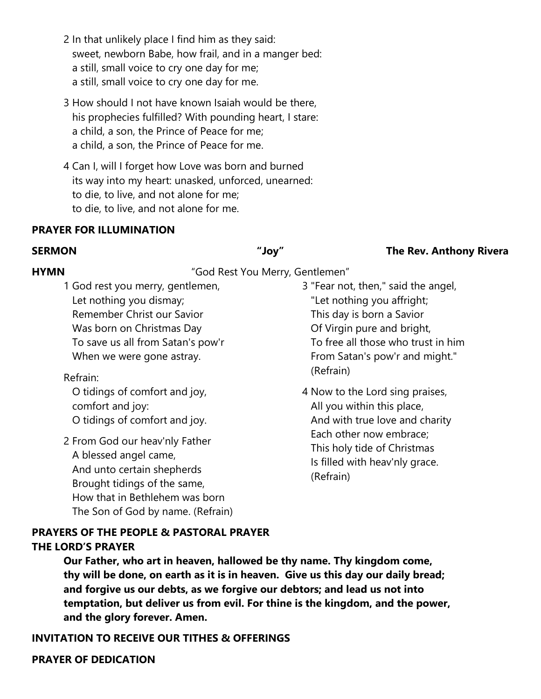- 2 In that unlikely place I find him as they said: sweet, newborn Babe, how frail, and in a manger bed: a still, small voice to cry one day for me; a still, small voice to cry one day for me.
- 3 How should I not have known Isaiah would be there, his prophecies fulfilled? With pounding heart, I stare: a child, a son, the Prince of Peace for me; a child, a son, the Prince of Peace for me.
- 4 Can I, will I forget how Love was born and burned its way into my heart: unasked, unforced, unearned: to die, to live, and not alone for me; to die, to live, and not alone for me.

### **PRAYER FOR ILLUMINATION**

### **SERMON "Joy" The Rev. Anthony Rivera**

## **HYMN** "God Rest You Merry, Gentlemen"

1 God rest you merry, gentlemen, Let nothing you dismay; Remember Christ our Savior Was born on Christmas Day To save us all from Satan's pow'r When we were gone astray.

### Refrain:

 O tidings of comfort and joy, comfort and joy: O tidings of comfort and joy.

2 From God our heav'nly Father A blessed angel came, And unto certain shepherds Brought tidings of the same, How that in Bethlehem was born The Son of God by name. (Refrain)

- 3 "Fear not, then," said the angel, "Let nothing you affright; This day is born a Savior Of Virgin pure and bright, To free all those who trust in him From Satan's pow'r and might." (Refrain)
- 4 Now to the Lord sing praises, All you within this place, And with true love and charity Each other now embrace; This holy tide of Christmas Is filled with heav'nly grace. (Refrain)

### **PRAYERS OF THE PEOPLE & PASTORAL PRAYER THE LORD'S PRAYER**

**Our Father, who art in heaven, hallowed be thy name. Thy kingdom come, thy will be done, on earth as it is in heaven. Give us this day our daily bread; and forgive us our debts, as we forgive our debtors; and lead us not into temptation, but deliver us from evil. For thine is the kingdom, and the power, and the glory forever. Amen.**

**INVITATION TO RECEIVE OUR TITHES & OFFERINGS**

### **PRAYER OF DEDICATION**